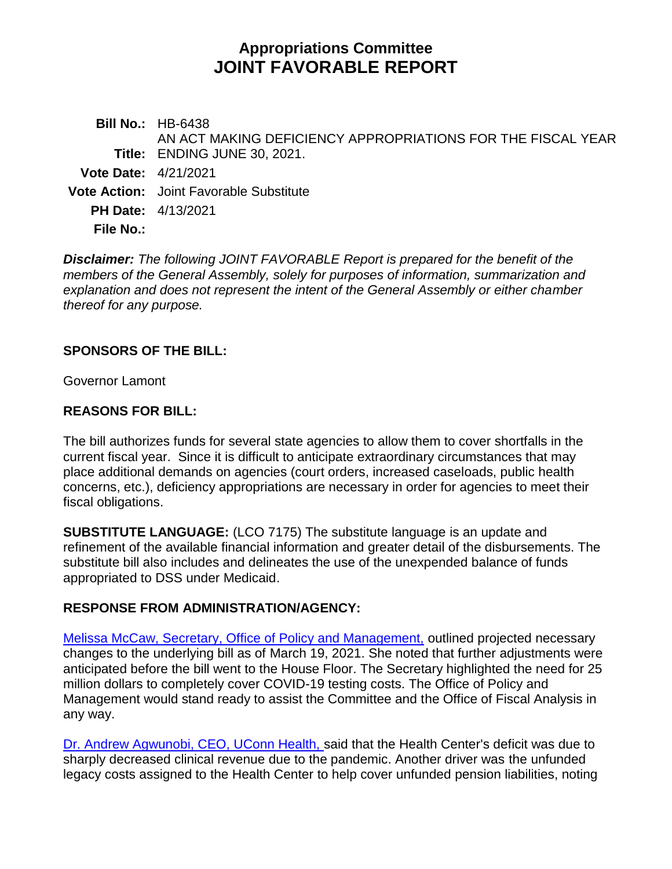# **Appropriations Committee JOINT FAVORABLE REPORT**

**Bill No.:** HB-6438 **Title:** ENDING JUNE 30, 2021. AN ACT MAKING DEFICIENCY APPROPRIATIONS FOR THE FISCAL YEAR **Vote Date:** 4/21/2021 **Vote Action:** Joint Favorable Substitute **PH Date:** 4/13/2021

**File No.:**

*Disclaimer: The following JOINT FAVORABLE Report is prepared for the benefit of the members of the General Assembly, solely for purposes of information, summarization and explanation and does not represent the intent of the General Assembly or either chamber thereof for any purpose.*

## **SPONSORS OF THE BILL:**

Governor Lamont

## **REASONS FOR BILL:**

The bill authorizes funds for several state agencies to allow them to cover shortfalls in the current fiscal year. Since it is difficult to anticipate extraordinary circumstances that may place additional demands on agencies (court orders, increased caseloads, public health concerns, etc.), deficiency appropriations are necessary in order for agencies to meet their fiscal obligations.

**SUBSTITUTE LANGUAGE:** (LCO 7175) The substitute language is an update and refinement of the available financial information and greater detail of the disbursements. The substitute bill also includes and delineates the use of the unexpended balance of funds appropriated to DSS under Medicaid.

#### **RESPONSE FROM ADMINISTRATION/AGENCY:**

[Melissa McCaw, Secretary, Office of Policy and Management,](http://cgalites/2021/appdata/tmy/2021HB-06438-R000413-McCaw,%20Melissa,%20Secretary-OPM-Deficiency%20Appropriations-TMY.PDF) outlined projected necessary changes to the underlying bill as of March 19, 2021. She noted that further adjustments were anticipated before the bill went to the House Floor. The Secretary highlighted the need for 25 million dollars to completely cover COVID-19 testing costs. The Office of Policy and Management would stand ready to assist the Committee and the Office of Fiscal Analysis in any way.

[Dr. Andrew Agwunobi, CEO, UConn Health,](http://cgalites/2021/appdata/tmy/2021HB-06438-R000413-Agwunobi,%20Andrew,%20CEO-UConn%20Health-Deficiency%20Appropriations-TMY.PDF) said that the Health Center's deficit was due to sharply decreased clinical revenue due to the pandemic. Another driver was the unfunded legacy costs assigned to the Health Center to help cover unfunded pension liabilities, noting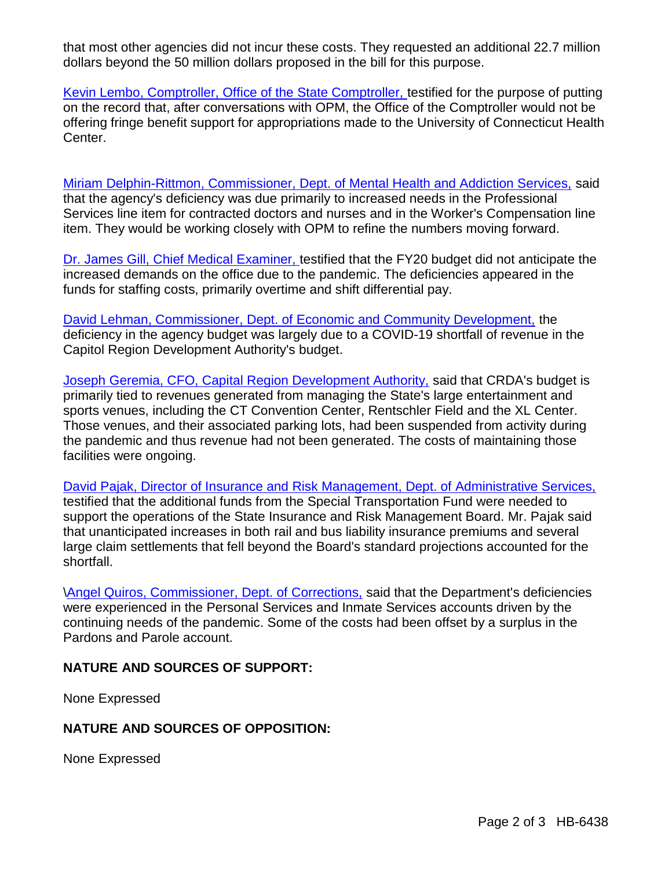that most other agencies did not incur these costs. They requested an additional 22.7 million dollars beyond the 50 million dollars proposed in the bill for this purpose.

[Kevin Lembo, Comptroller, Office of the State Comptroller,](http://cgalites/2021/appdata/tmy/2021HB-06438-R000413-Lembo,%20Kevin,%20Comptroller-Office%20of%20the%20State%20Comptroller-Deficiency%20Appropriations-TMY.PDF) testified for the purpose of putting on the record that, after conversations with OPM, the Office of the Comptroller would not be offering fringe benefit support for appropriations made to the University of Connecticut Health Center.

[Miriam Delphin-Rittmon, Commissioner, Dept. of Mental Health and Addiction Services,](http://cgalites/2021/appdata/tmy/2021HB-06438-R000413-Delphin-Rittmon,%20Miriam,%20Commissioner-Dept.%20of%20Mental%20Health%20and%20Addiction%20Services-TMY.PDF) said that the agency's deficiency was due primarily to increased needs in the Professional Services line item for contracted doctors and nurses and in the Worker's Compensation line item. They would be working closely with OPM to refine the numbers moving forward.

[Dr. James Gill, Chief Medical Examiner,](http://cgalites/2021/appdata/tmy/2021HB-06438-R000413-Gill,%20James,%20Chief%20Medical%20Examiner-OCME-Deficiency%20Appropriations-TMY.PDF) testified that the FY20 budget did not anticipate the increased demands on the office due to the pandemic. The deficiencies appeared in the funds for staffing costs, primarily overtime and shift differential pay.

[David Lehman, Commissioner, Dept. of Economic and Community Development,](http://cgalites/2021/appdata/tmy/2021HB-06438-R000413-Lehman,%20David,%20Commissioner-Dept.%20of%20Economic%20and%20Community%20Development-Deficiency%20Appropriations-TMY.PDF) the deficiency in the agency budget was largely due to a COVID-19 shortfall of revenue in the Capitol Region Development Authority's budget.

[Joseph Geremia, CFO, Capital Region Development Authority,](http://cgalites/2021/appdata/tmy/2021HB-06438-R000413-Geremia,%20Joseph,%20CFO-CRDA-Deficiency%20Appropriations-TMY.PDF) said that CRDA's budget is primarily tied to revenues generated from managing the State's large entertainment and sports venues, including the CT Convention Center, Rentschler Field and the XL Center. Those venues, and their associated parking lots, had been suspended from activity during the pandemic and thus revenue had not been generated. The costs of maintaining those facilities were ongoing.

[David Pajak, Director of Insurance and Risk Management, Dept. of Administrative Services,](http://cgalites/2021/appdata/tmy/2021HB-06438-R000413-Pajak,%20David-DAS-Deficiency%20Appropriations-TMY.PDF) testified that the additional funds from the Special Transportation Fund were needed to support the operations of the State Insurance and Risk Management Board. Mr. Pajak said that unanticipated increases in both rail and bus liability insurance premiums and several large claim settlements that fell beyond the Board's standard projections accounted for the shortfall.

[\Angel Quiros, Commissioner, Dept. of Corrections,](http://cgalites/2021/appdata/tmy/2021HB-06438-R000413-Quiros,%20Angel,%20Commissioner-Dept.%20of%20Corrections-TMY.PDF) said that the Department's deficiencies were experienced in the Personal Services and Inmate Services accounts driven by the continuing needs of the pandemic. Some of the costs had been offset by a surplus in the Pardons and Parole account.

# **NATURE AND SOURCES OF SUPPORT:**

None Expressed

# **NATURE AND SOURCES OF OPPOSITION:**

None Expressed